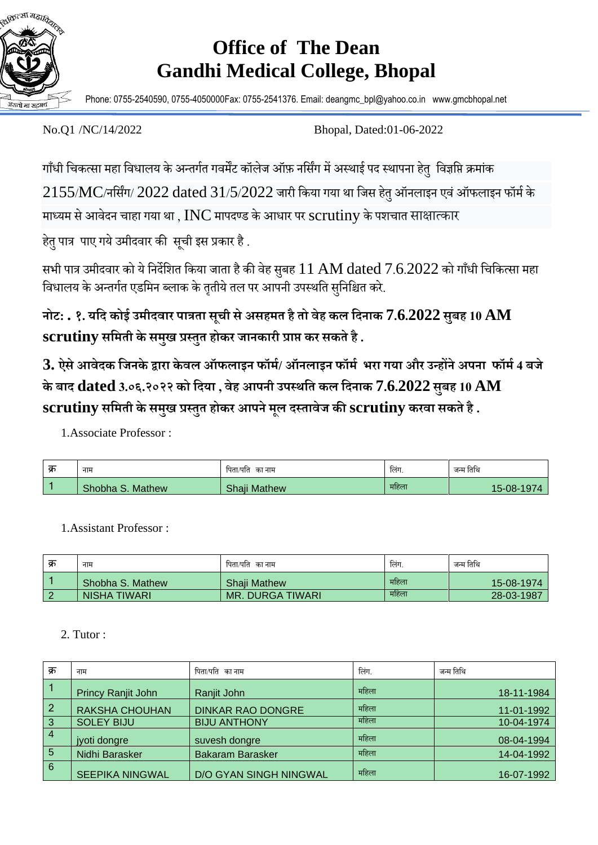

## **Office of The Dean Gandhi Medical College, Bhopal**

Phone: 0755-2540590, 0755-4050000Fax: 0755-2541376. Email: deangmc\_bpl@yahoo.co.in www.gmcbhopal.net

No.Q1 /NC/14/2022 Bhopal, Dated:01-06-2022

गाँधी चिकत्सा महा विधालय के अन्तर्गत गवर्मेंट कॉलेज ऑफ़ नर्सिंग में अस्थाई पद स्थापना हेत्र विज्ञप्ति क्रमांक  $2155/MC$ /नर्सिंग/  $2022$  dated  $31/5/2022$  जारी किया गया था जिस हेतु ऑनलाइन एवं ऑफलाइन फॉर्म के माध्यम से आवेदन चाहा गया था ,  $\rm{INC}$  मापदण्ड के आधार पर  $\rm{scrutiny}$  के पशचात साक्षात्कार

हेत् पात्र पाए गये उमीदवार की सूची इस प्रकार है.

सभी पात्र उमीदवार को ये निर्देशित किया जाता है की वेह सुबह  $11 \text{ AM}$   $\text{data}$   $7.6.2022$  को गाँधी चिकित्सा महा विधालय के अन्तर्गत एडमिन ब्लाक के तृतीये तल पर आपनी उपस्थति सनिश्चित करे.

**नोट: . १. यदि कोई उमीिवार पात्रता सूची सेअसहमत हैतो वेह कल दिनाक 7.6.2022 सुबह 10 AM scrutiny सदमती केसमखु प्रस्तुत होकर जानकारी प्राप्त कर सकतेहै.**

 $3.$  ऐसे आवेदक जिनके द्वारा केवल ऑफलाइन फॉर्म/ ऑनलाइन फॉर्म भरा गया और उन्होंने अपना फॉर्म 4 बजे **के बाि dated 3.०६.२०२२ को दिया , वेह आपनी उपस्थदत कल दिनाक 7.6.2022 सुबह 10 AM scrutiny सदमती केसमखु प्रस्तुत होकर आपनेमूल िस्तावेज की scrutiny करवा सकते है .**

1.Associate Professor :

| क्र | नाम              | पिता/पति का नाम | लिंग.           | जन्म तिथि  |
|-----|------------------|-----------------|-----------------|------------|
|     | Shobha S. Mathew | Shaji Mathew    | $\sim$<br>महिला | 15-08-1974 |

1.Assistant Professor :

| क्र    | नाम              | पिता/पति का नाम         | लिंग. | जन्म तिथि  |
|--------|------------------|-------------------------|-------|------------|
|        | Shobha S. Mathew | <b>Shail Mathew</b>     | महिला | 15-08-1974 |
| $\sim$ | NISHA TIWARI     | <b>MR. DURGA TIWARI</b> | महिला | 28-03-1987 |

## 2. Tutor :

| क्र            | नाम                       | पिता/पति  का नाम              | लिंग. | जन्म तिथि  |
|----------------|---------------------------|-------------------------------|-------|------------|
|                | <b>Princy Ranjit John</b> | Ranjit John                   | महिला | 18-11-1984 |
| $\overline{2}$ | <b>RAKSHA CHOUHAN</b>     | <b>DINKAR RAO DONGRE</b>      | महिला | 11-01-1992 |
| $\overline{3}$ | <b>SOLEY BIJU</b>         | <b>BIJU ANTHONY</b>           | महिला | 10-04-1974 |
| $\overline{4}$ | jyoti dongre              | suvesh dongre                 | महिला | 08-04-1994 |
| -5             | Nidhi Barasker            | <b>Bakaram Barasker</b>       | महिला | 14-04-1992 |
| 6              | <b>SEEPIKA NINGWAL</b>    | <b>D/O GYAN SINGH NINGWAL</b> | महिला | 16-07-1992 |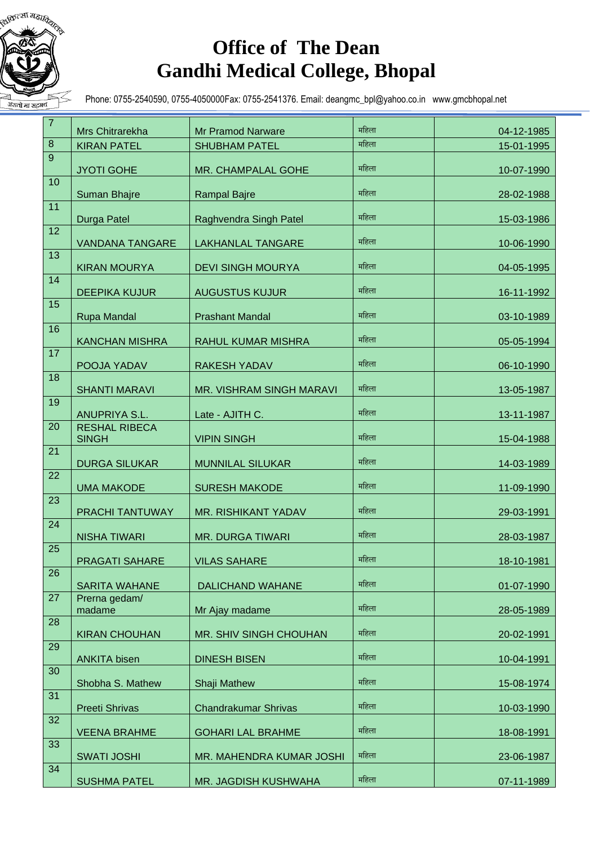

## **Office of The Dean Gandhi Medical College, Bhopal**

Phone: 0755-2540590, 0755-4050000Fax: 0755-2541376. Email: deangmc\_bpl@yahoo.co.in www.gmcbhopal.net

| $\overline{7}$ | Mrs Chitrarekha                      | <b>Mr Pramod Narware</b>    | महिला | 04-12-1985 |
|----------------|--------------------------------------|-----------------------------|-------|------------|
| $\bf 8$        | <b>KIRAN PATEL</b>                   | <b>SHUBHAM PATEL</b>        | महिला | 15-01-1995 |
| 9              | <b>JYOTI GOHE</b>                    | MR. CHAMPALAL GOHE          | महिला | 10-07-1990 |
| 10             | Suman Bhajre                         | <b>Rampal Bajre</b>         | महिला | 28-02-1988 |
| 11             | Durga Patel                          | Raghvendra Singh Patel      | महिला | 15-03-1986 |
| 12             | <b>VANDANA TANGARE</b>               | <b>LAKHANLAL TANGARE</b>    | महिला | 10-06-1990 |
| 13             | <b>KIRAN MOURYA</b>                  | <b>DEVI SINGH MOURYA</b>    | महिला | 04-05-1995 |
| 14             | <b>DEEPIKA KUJUR</b>                 | <b>AUGUSTUS KUJUR</b>       | महिला | 16-11-1992 |
| 15             | Rupa Mandal                          | <b>Prashant Mandal</b>      | महिला | 03-10-1989 |
| 16             | <b>KANCHAN MISHRA</b>                | <b>RAHUL KUMAR MISHRA</b>   | महिला | 05-05-1994 |
| 17             | POOJA YADAV                          | <b>RAKESH YADAV</b>         | महिला | 06-10-1990 |
| 18             | <b>SHANTI MARAVI</b>                 | MR. VISHRAM SINGH MARAVI    | महिला | 13-05-1987 |
| 19             | ANUPRIYA S.L.                        | Late - AJITH C.             | महिला | 13-11-1987 |
| 20             | <b>RESHAL RIBECA</b><br><b>SINGH</b> | <b>VIPIN SINGH</b>          | महिला | 15-04-1988 |
| 21             | <b>DURGA SILUKAR</b>                 | <b>MUNNILAL SILUKAR</b>     | महिला | 14-03-1989 |
| 22             | <b>UMA MAKODE</b>                    | <b>SURESH MAKODE</b>        | महिला | 11-09-1990 |
| 23             | PRACHI TANTUWAY                      | MR. RISHIKANT YADAV         | महिला | 29-03-1991 |
| 24             | <b>NISHA TIWARI</b>                  | <b>MR. DURGA TIWARI</b>     | महिला | 28-03-1987 |
| 25             | <b>PRAGATI SAHARE</b>                | <b>VILAS SAHARE</b>         | महिला | 18-10-1981 |
| 26             | <b>SARITA WAHANE</b>                 | <b>DALICHAND WAHANE</b>     | महिला | 01-07-1990 |
| 27             | Prerna gedam/<br>madame              | Mr Ajay madame              | महिला | 28-05-1989 |
| 28             | <b>KIRAN CHOUHAN</b>                 | MR. SHIV SINGH CHOUHAN      | महिला | 20-02-1991 |
| 29             | <b>ANKITA bisen</b>                  | <b>DINESH BISEN</b>         | महिला | 10-04-1991 |
| 30             | Shobha S. Mathew                     | Shaji Mathew                | महिला | 15-08-1974 |
| 31             | <b>Preeti Shrivas</b>                | <b>Chandrakumar Shrivas</b> | महिला | 10-03-1990 |
| 32             | <b>VEENA BRAHME</b>                  | <b>GOHARI LAL BRAHME</b>    | महिला | 18-08-1991 |
| 33             | <b>SWATI JOSHI</b>                   | MR. MAHENDRA KUMAR JOSHI    | महिला | 23-06-1987 |
| 34             | <b>SUSHMA PATEL</b>                  | MR. JAGDISH KUSHWAHA        | महिला | 07-11-1989 |